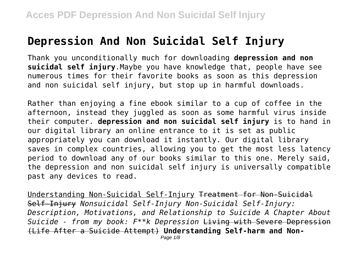# **Depression And Non Suicidal Self Injury**

Thank you unconditionally much for downloading **depression and non suicidal self injury**.Maybe you have knowledge that, people have see numerous times for their favorite books as soon as this depression and non suicidal self injury, but stop up in harmful downloads.

Rather than enjoying a fine ebook similar to a cup of coffee in the afternoon, instead they juggled as soon as some harmful virus inside their computer. **depression and non suicidal self injury** is to hand in our digital library an online entrance to it is set as public appropriately you can download it instantly. Our digital library saves in complex countries, allowing you to get the most less latency period to download any of our books similar to this one. Merely said, the depression and non suicidal self injury is universally compatible past any devices to read.

Understanding Non-Suicidal Self-Injury Treatment for Non-Suicidal Self-Injury *Nonsuicidal Self-Injury Non-Suicidal Self-Injury: Description, Motivations, and Relationship to Suicide A Chapter About Suicide - from my book: F\*\*k Depression* Living with Severe Depression (Life After a Suicide Attempt) **Understanding Self-harm and Non-**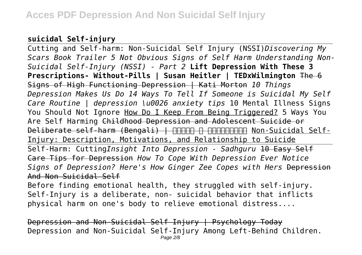## **suicidal Self-injury**

Cutting and Self-harm: Non-Suicidal Self Injury (NSSI)*Discovering My Scars Book Trailer 5 Not Obvious Signs of Self Harm Understanding Non-Suicidal Self-Injury (NSSI) - Part 2* **Lift Depression With These 3 Prescriptions- Without-Pills | Susan Heitler | TEDxWilmington** The 6 Signs of High Functioning Depression | Kati Morton *10 Things Depression Makes Us Do 14 Ways To Tell If Someone is Suicidal My Self Care Routine | depression \u0026 anxiety tips* 10 Mental Illness Signs You Should Not Ignore How Do I Keep From Being Triggered? 5 Ways You Are Self Harming Childhood Depression and Adolescent Suicide or Deliberate self-harm (Bengali) | THHTH A THHTHTHH Non-Suicidal Self-Injury: Description, Motivations, and Relationship to Suicide Self-Harm: Cutting*Insight Into Depression - Sadhguru* 10 Easy Self Care Tips for Depression *How To Cope With Depression Ever Notice Signs of Depression? Here's How Ginger Zee Copes with Hers* Depression And Non Suicidal Self Before finding emotional health, they struggled with self-injury. Self-Injury is a deliberate, non- suicidal behavior that inflicts

physical harm on one's body to relieve emotional distress....

Depression and Non-Suicidal Self Injury | Psychology Today Depression and Non-Suicidal Self-Injury Among Left-Behind Children.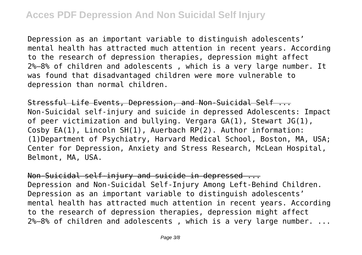Depression as an important variable to distinguish adolescents' mental health has attracted much attention in recent years. According to the research of depression therapies, depression might affect 2%–8% of children and adolescents , which is a very large number. It was found that disadvantaged children were more vulnerable to depression than normal children.

Stressful Life Events, Depression, and Non-Suicidal Self ... Non-Suicidal self-injury and suicide in depressed Adolescents: Impact of peer victimization and bullying. Vergara GA(1), Stewart JG(1), Cosby EA(1), Lincoln SH(1), Auerbach RP(2). Author information: (1)Department of Psychiatry, Harvard Medical School, Boston, MA, USA; Center for Depression, Anxiety and Stress Research, McLean Hospital, Belmont, MA, USA.

Non-Suicidal self-injury and suicide in depressed ... Depression and Non-Suicidal Self-Injury Among Left-Behind Children. Depression as an important variable to distinguish adolescents' mental health has attracted much attention in recent years. According to the research of depression therapies, depression might affect 2%–8% of children and adolescents , which is a very large number. ...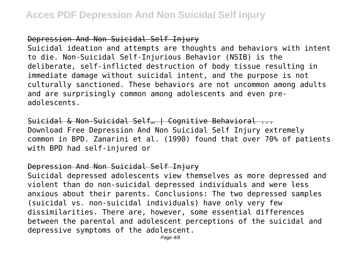### Depression And Non Suicidal Self Injury

Suicidal ideation and attempts are thoughts and behaviors with intent to die. Non-Suicidal Self-Injurious Behavior (NSIB) is the deliberate, self-inflicted destruction of body tissue resulting in immediate damage without suicidal intent, and the purpose is not culturally sanctioned. These behaviors are not uncommon among adults and are surprisingly common among adolescents and even preadolescents.

Suicidal & Non-Suicidal Self… | Cognitive Behavioral ... Download Free Depression And Non Suicidal Self Injury extremely common in BPD. Zanarini et al. (1990) found that over 70% of patients with BPD had self-injured or

### Depression And Non Suicidal Self Injury

Suicidal depressed adolescents view themselves as more depressed and violent than do non-suicidal depressed individuals and were less anxious about their parents. Conclusions: The two depressed samples (suicidal vs. non-suicidal individuals) have only very few dissimilarities. There are, however, some essential differences between the parental and adolescent perceptions of the suicidal and depressive symptoms of the adolescent.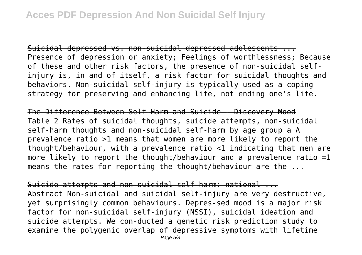Suicidal depressed vs. non-suicidal depressed adolescents ... Presence of depression or anxiety; Feelings of worthlessness; Because of these and other risk factors, the presence of non-suicidal selfinjury is, in and of itself, a risk factor for suicidal thoughts and behaviors. Non-suicidal self-injury is typically used as a coping strategy for preserving and enhancing life, not ending one's life.

The Difference Between Self-Harm and Suicide - Discovery Mood Table 2 Rates of suicidal thoughts, suicide attempts, non-suicidal self-harm thoughts and non-suicidal self-harm by age group a A prevalence ratio >1 means that women are more likely to report the thought/behaviour, with a prevalence ratio <1 indicating that men are more likely to report the thought/behaviour and a prevalence ratio =1 means the rates for reporting the thought/behaviour are the ...

Suicide attempts and non-suicidal self-harm: national ... Abstract Non-suicidal and suicidal self-injury are very destructive, yet surprisingly common behaviours. Depres-sed mood is a major risk factor for non-suicidal self-injury (NSSI), suicidal ideation and suicide attempts. We con-ducted a genetic risk prediction study to examine the polygenic overlap of depressive symptoms with lifetime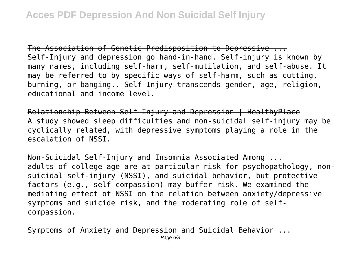The Association of Genetic Predisposition to Depressive ... Self-Injury and depression go hand-in-hand. Self-injury is known by many names, including self-harm, self-mutilation, and self-abuse. It may be referred to by specific ways of self-harm, such as cutting, burning, or banging.. Self-Injury transcends gender, age, religion, educational and income level.

Relationship Between Self-Injury and Depression | HealthyPlace A study showed sleep difficulties and non-suicidal self-injury may be cyclically related, with depressive symptoms playing a role in the escalation of NSSI.

Non-Suicidal Self-Injury and Insomnia Associated Among ... adults of college age are at particular risk for psychopathology, nonsuicidal self-injury (NSSI), and suicidal behavior, but protective factors (e.g., self-compassion) may buffer risk. We examined the mediating effect of NSSI on the relation between anxiety/depressive symptoms and suicide risk, and the moderating role of selfcompassion.

Symptoms of Anxiety and Depression and Suicidal Behavior Page 6/8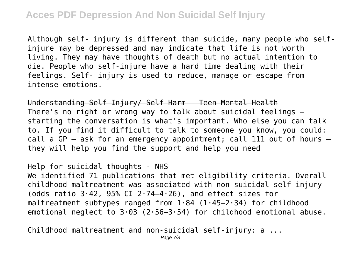Although self- injury is different than suicide, many people who selfinjure may be depressed and may indicate that life is not worth living. They may have thoughts of death but no actual intention to die. People who self-injure have a hard time dealing with their feelings. Self- injury is used to reduce, manage or escape from intense emotions.

Understanding Self-Injury/ Self-Harm - Teen Mental Health There's no right or wrong way to talk about suicidal feelings – starting the conversation is what's important. Who else you can talk to. If you find it difficult to talk to someone you know, you could: call a GP – ask for an emergency appointment; call 111 out of hours – they will help you find the support and help you need

#### Help for suicidal thoughts - NHS

We identified 71 publications that met eligibility criteria. Overall childhood maltreatment was associated with non-suicidal self-injury (odds ratio  $3.42$ , 95% CI 2.74-4.26), and effect sizes for maltreatment subtypes ranged from  $1.84$  ( $1.45-2.34$ ) for childhood emotional neglect to  $3.03$  (2.56-3.54) for childhood emotional abuse.

 $Childbood$  maltreatment and non-suicidal self-injury: